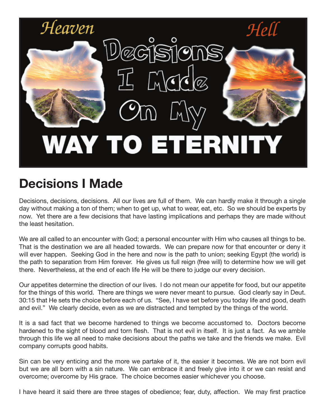

## **Decisions I Made**

Decisions, decisions, decisions. All our lives are full of them. We can hardly make it through a single day without making a ton of them; when to get up, what to wear, eat, etc. So we should be experts by now. Yet there are a few decisions that have lasting implications and perhaps they are made without the least hesitation.

We are all called to an encounter with God; a personal encounter with Him who causes all things to be. That is the destination we are all headed towards. We can prepare now for that encounter or deny it will ever happen. Seeking God in the here and now is the path to union; seeking Egypt (the world) is the path to separation from Him forever. He gives us full reign (free will) to determine how we will get there. Nevertheless, at the end of each life He will be there to judge our every decision.

Our appetites determine the direction of our lives. I do not mean our appetite for food, but our appetite for the things of this world. There are things we were never meant to pursue. God clearly say in Deut. 30:15 that He sets the choice before each of us. "See, I have set before you today life and good, death and evil." We clearly decide, even as we are distracted and tempted by the things of the world.

It is a sad fact that we become hardened to things we become accustomed to. Doctors become hardened to the sight of blood and torn flesh. That is not evil in itself. It is just a fact. As we amble through this life we all need to make decisions about the paths we take and the friends we make. Evil company corrupts good habits.

Sin can be very enticing and the more we partake of it, the easier it becomes. We are not born evil but we are all born with a sin nature. We can embrace it and freely give into it or we can resist and overcome; overcome by His grace. The choice becomes easier whichever you choose.

I have heard it said there are three stages of obedience; fear, duty, affection. We may first practice